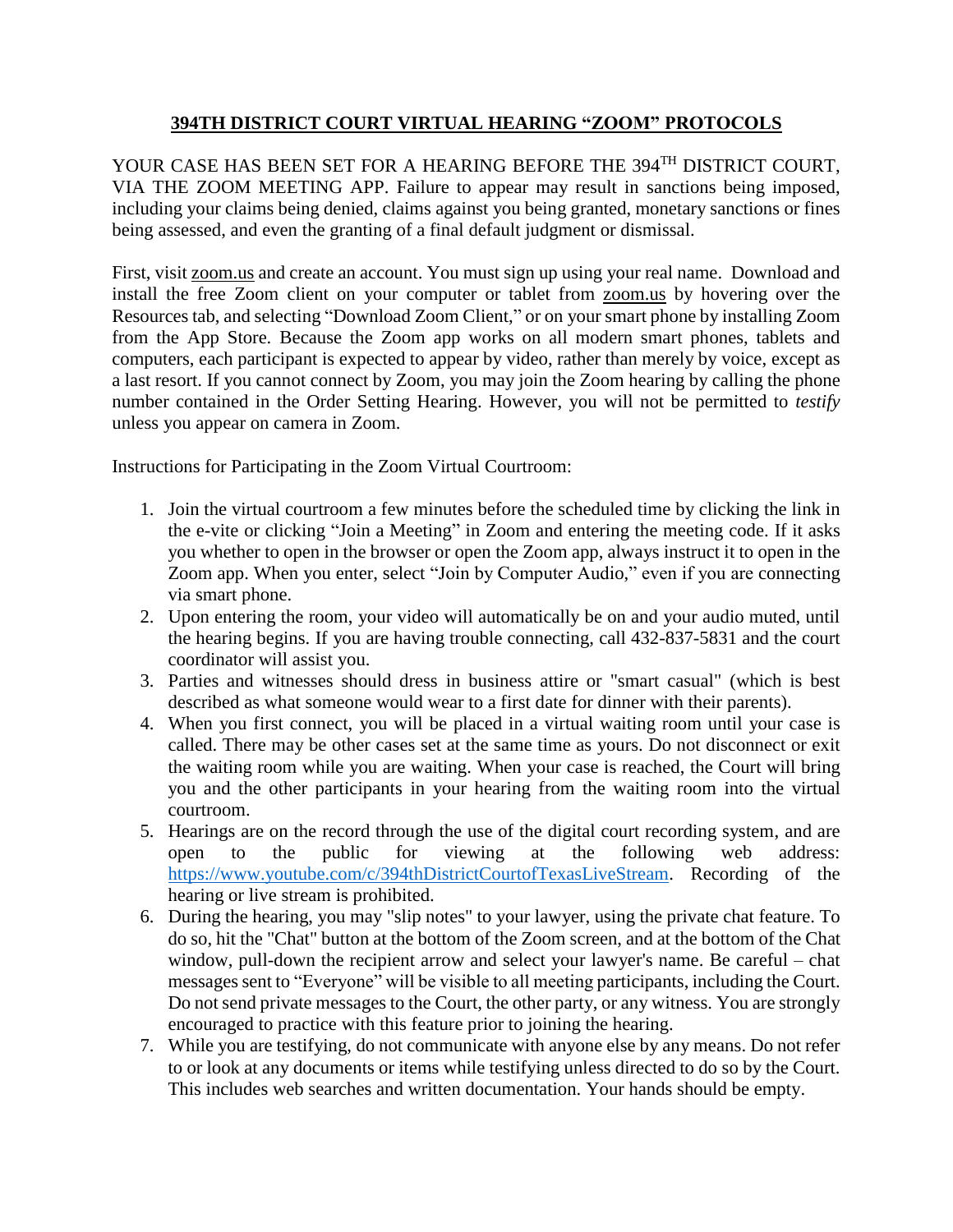## **394TH DISTRICT COURT VIRTUAL HEARING "ZOOM" PROTOCOLS**

YOUR CASE HAS BEEN SET FOR A HEARING BEFORE THE 394TH DISTRICT COURT, VIA THE ZOOM MEETING APP. Failure to appear may result in sanctions being imposed, including your claims being denied, claims against you being granted, monetary sanctions or fines being assessed, and even the granting of a final default judgment or dismissal.

First, visit zoom.us and create an account. You must sign up using your real name. Download and install the free Zoom client on your computer or tablet from zoom.us by hovering over the Resources tab, and selecting "Download Zoom Client," or on your smart phone by installing Zoom from the App Store. Because the Zoom app works on all modern smart phones, tablets and computers, each participant is expected to appear by video, rather than merely by voice, except as a last resort. If you cannot connect by Zoom, you may join the Zoom hearing by calling the phone number contained in the Order Setting Hearing. However, you will not be permitted to *testify*  unless you appear on camera in Zoom.

Instructions for Participating in the Zoom Virtual Courtroom:

- 1. Join the virtual courtroom a few minutes before the scheduled time by clicking the link in the e-vite or clicking "Join a Meeting" in Zoom and entering the meeting code. If it asks you whether to open in the browser or open the Zoom app, always instruct it to open in the Zoom app. When you enter, select "Join by Computer Audio," even if you are connecting via smart phone.
- 2. Upon entering the room, your video will automatically be on and your audio muted, until the hearing begins. If you are having trouble connecting, call 432-837-5831 and the court coordinator will assist you.
- 3. Parties and witnesses should dress in business attire or "smart casual" (which is best described as what someone would wear to a first date for dinner with their parents).
- 4. When you first connect, you will be placed in a virtual waiting room until your case is called. There may be other cases set at the same time as yours. Do not disconnect or exit the waiting room while you are waiting. When your case is reached, the Court will bring you and the other participants in your hearing from the waiting room into the virtual courtroom.
- 5. Hearings are on the record through the use of the digital court recording system, and are open to the public for viewing at the following web address: [https://www.youtube.com/c/394thDistrictCourtofTexasLiveStream.](https://www.youtube.com/c/394thDistrictCourtofTexasLiveStream) Recording of the hearing or live stream is prohibited.
- 6. During the hearing, you may "slip notes" to your lawyer, using the private chat feature. To do so, hit the "Chat" button at the bottom of the Zoom screen, and at the bottom of the Chat window, pull-down the recipient arrow and select your lawyer's name. Be careful – chat messages sent to "Everyone" will be visible to all meeting participants, including the Court. Do not send private messages to the Court, the other party, or any witness. You are strongly encouraged to practice with this feature prior to joining the hearing.
- 7. While you are testifying, do not communicate with anyone else by any means. Do not refer to or look at any documents or items while testifying unless directed to do so by the Court. This includes web searches and written documentation. Your hands should be empty.